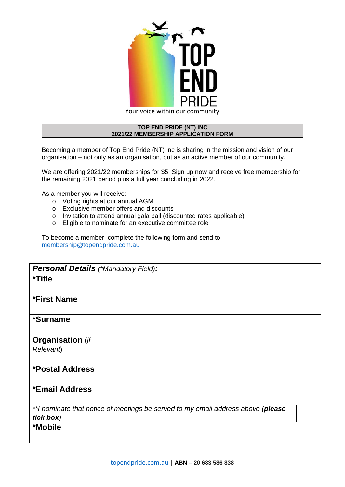

## **TOP END PRIDE (NT) INC 2021/22 MEMBERSHIP APPLICATION FORM**

Becoming a member of Top End Pride (NT) inc is sharing in the mission and vision of our organisation – not only as an organisation, but as an active member of our community.

We are offering 2021/22 memberships for \$5. Sign up now and receive free membership for the remaining 2021 period plus a full year concluding in 2022.

As a member you will receive:

- o Voting rights at our annual AGM
- o Exclusive member offers and discounts
- o Invitation to attend annual gala ball (discounted rates applicable)
- o Eligible to nominate for an executive committee role

To become a member, complete the following form and send to: [membership@topendpride.com.au](mailto:membership@topendpride.com.au)

| <b>Personal Details (*Mandatory Field):</b>                                      |  |
|----------------------------------------------------------------------------------|--|
| <i><b>*Title</b></i>                                                             |  |
|                                                                                  |  |
| <b>*First Name</b>                                                               |  |
| *Surname                                                                         |  |
| <b>Organisation</b> (if                                                          |  |
| Relevant)                                                                        |  |
| *Postal Address                                                                  |  |
| *Email Address                                                                   |  |
| **I nominate that notice of meetings be served to my email address above (please |  |
| tick box)                                                                        |  |
| *Mobile                                                                          |  |